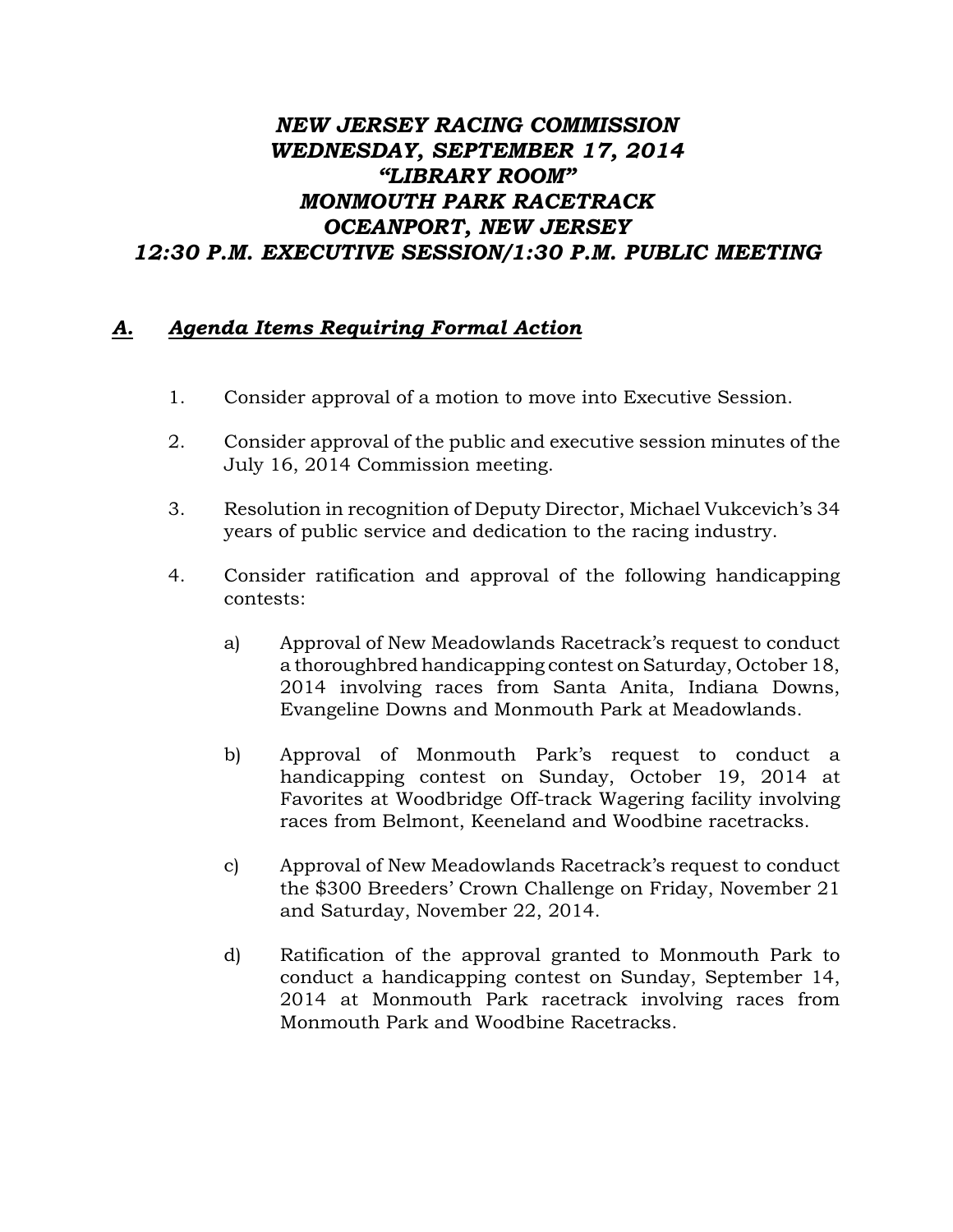## *NEW JERSEY RACING COMMISSION WEDNESDAY, SEPTEMBER 17, 2014 "LIBRARY ROOM" MONMOUTH PARK RACETRACK OCEANPORT, NEW JERSEY 12:30 P.M. EXECUTIVE SESSION/1:30 P.M. PUBLIC MEETING*

## *A. Agenda Items Requiring Formal Action*

- 1. Consider approval of a motion to move into Executive Session.
- 2. Consider approval of the public and executive session minutes of the July 16, 2014 Commission meeting.
- 3. Resolution in recognition of Deputy Director, Michael Vukcevich's 34 years of public service and dedication to the racing industry.
- 4. Consider ratification and approval of the following handicapping contests:
	- a) Approval of New Meadowlands Racetrack's request to conduct a thoroughbred handicapping contest on Saturday, October 18, 2014 involving races from Santa Anita, Indiana Downs, Evangeline Downs and Monmouth Park at Meadowlands.
	- b) Approval of Monmouth Park's request to conduct a handicapping contest on Sunday, October 19, 2014 at Favorites at Woodbridge Off-track Wagering facility involving races from Belmont, Keeneland and Woodbine racetracks.
	- c) Approval of New Meadowlands Racetrack's request to conduct the \$300 Breeders' Crown Challenge on Friday, November 21 and Saturday, November 22, 2014.
	- d) Ratification of the approval granted to Monmouth Park to conduct a handicapping contest on Sunday, September 14, 2014 at Monmouth Park racetrack involving races from Monmouth Park and Woodbine Racetracks.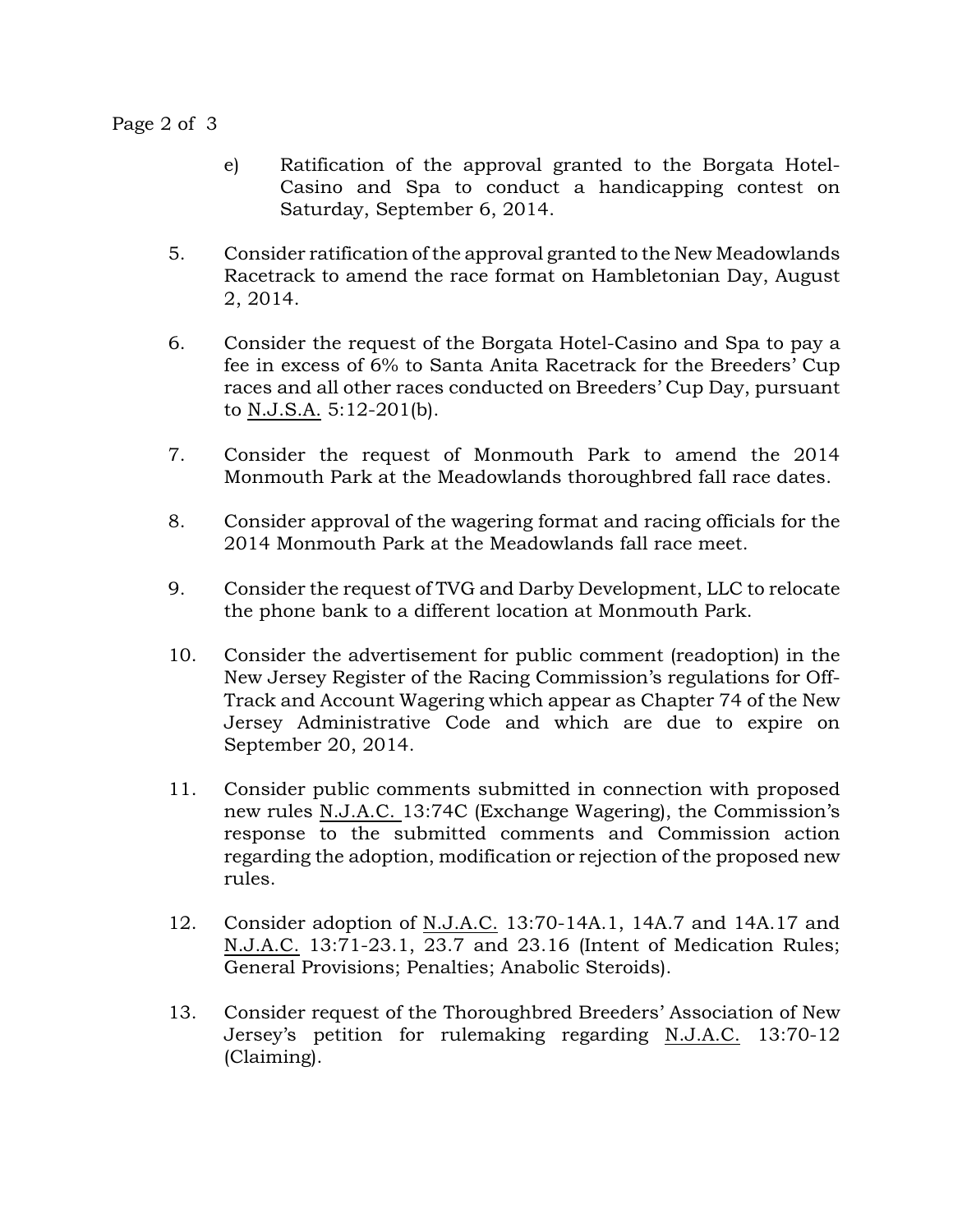Page 2 of 3

- e) Ratification of the approval granted to the Borgata Hotel-Casino and Spa to conduct a handicapping contest on Saturday, September 6, 2014.
- 5. Consider ratification of the approval granted to the New Meadowlands Racetrack to amend the race format on Hambletonian Day, August 2, 2014.
- 6. Consider the request of the Borgata Hotel-Casino and Spa to pay a fee in excess of 6% to Santa Anita Racetrack for the Breeders' Cup races and all other races conducted on Breeders' Cup Day, pursuant to N.J.S.A. 5:12-201(b).
- 7. Consider the request of Monmouth Park to amend the 2014 Monmouth Park at the Meadowlands thoroughbred fall race dates.
- 8. Consider approval of the wagering format and racing officials for the 2014 Monmouth Park at the Meadowlands fall race meet.
- 9. Consider the request of TVG and Darby Development, LLC to relocate the phone bank to a different location at Monmouth Park.
- 10. Consider the advertisement for public comment (readoption) in the New Jersey Register of the Racing Commission's regulations for Off-Track and Account Wagering which appear as Chapter 74 of the New Jersey Administrative Code and which are due to expire on September 20, 2014.
- 11. Consider public comments submitted in connection with proposed new rules N.J.A.C. 13:74C (Exchange Wagering), the Commission's response to the submitted comments and Commission action regarding the adoption, modification or rejection of the proposed new rules.
- 12. Consider adoption of N.J.A.C. 13:70-14A.1, 14A.7 and 14A.17 and N.J.A.C. 13:71-23.1, 23.7 and 23.16 (Intent of Medication Rules; General Provisions; Penalties; Anabolic Steroids).
- 13. Consider request of the Thoroughbred Breeders' Association of New Jersey's petition for rulemaking regarding N.J.A.C. 13:70-12 (Claiming).